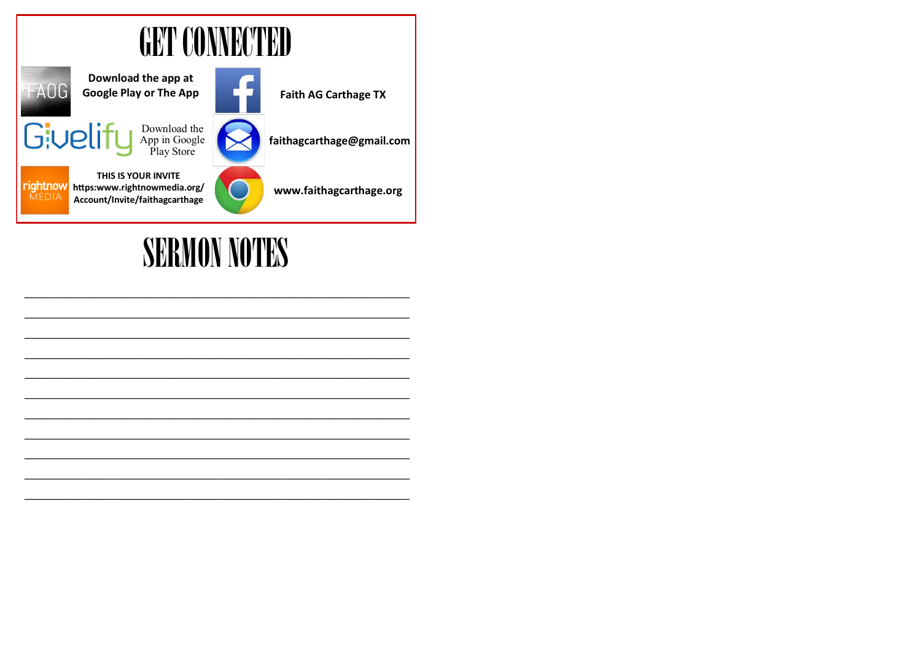

## **SERMON NOTES**

 $\mathcal{L}_\text{max}$  and the contract of the contract of the contract of the contract of the contract of the contract of the contract of the contract of the contract of the contract of the contract of the contract of the contrac  $\mathcal{L}_\text{max}$  , and the contract of the contract of the contract of the contract of the contract of the contract of the contract of the contract of the contract of the contract of the contract of the contract of the contr  $\mathcal{L}_\text{max}$  and the contract of the contract of the contract of the contract of the contract of the contract of the contract of the contract of the contract of the contract of the contract of the contract of the contrac  $\mathcal{L}_\text{max}$  , and the contract of the contract of the contract of the contract of the contract of the contract of the contract of the contract of the contract of the contract of the contract of the contract of the contr  $\mathcal{L}_\text{max}$  and the contract of the contract of the contract of the contract of the contract of the contract of the contract of the contract of the contract of the contract of the contract of the contract of the contrac  $\mathcal{L}_\text{max}$  and the contract of the contract of the contract of the contract of the contract of the contract of the contract of the contract of the contract of the contract of the contract of the contract of the contrac  $\mathcal{L}_\text{max}$  and the contract of the contract of the contract of the contract of the contract of the contract of the contract of the contract of the contract of the contract of the contract of the contract of the contrac  $\mathcal{L}_\text{max}$  and the contract of the contract of the contract of the contract of the contract of the contract of the contract of the contract of the contract of the contract of the contract of the contract of the contrac  $\mathcal{L}_\text{max}$  and the contract of the contract of the contract of the contract of the contract of the contract of the contract of the contract of the contract of the contract of the contract of the contract of the contrac  $\mathcal{L}_\text{max}$  and the contract of the contract of the contract of the contract of the contract of the contract of the contract of the contract of the contract of the contract of the contract of the contract of the contrac  $\mathcal{L}_\text{max}$  and the contract of the contract of the contract of the contract of the contract of the contract of the contract of the contract of the contract of the contract of the contract of the contract of the contrac